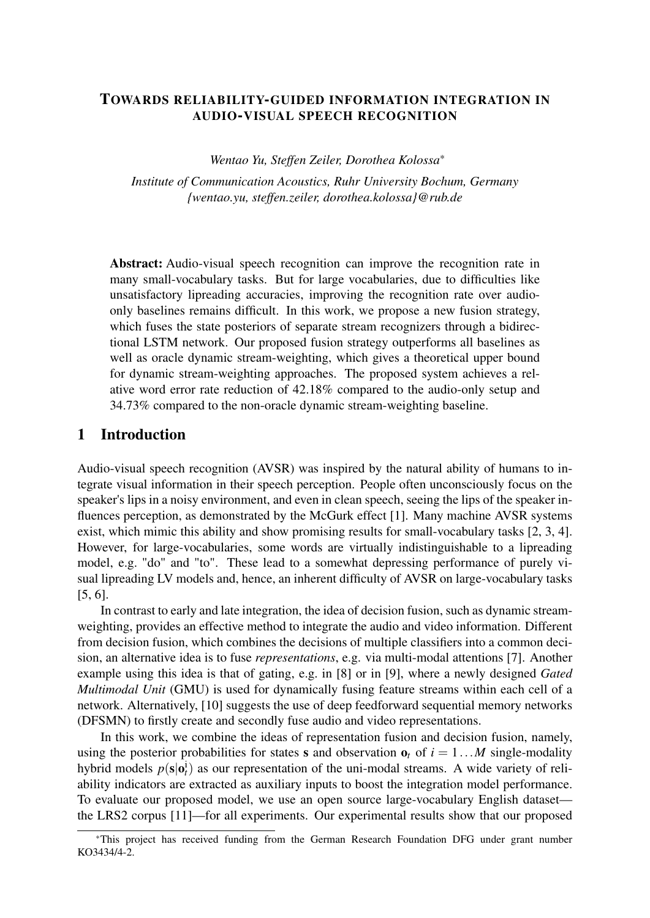## TOWARDS RELIABILITY-GUIDED INFORMATION INTEGRATION IN AUDIO-VISUAL SPEECH RECOGNITION

*Wentao Yu, Steffen Zeiler, Dorothea Kolossa*\*

*Institute of Communication Acoustics, Ruhr University Bochum, Germany [{wentao.yu, steffen.zeiler, dorothea.kolossa}@rub.de](mailto:\protect \T1\textbraceleft wentao.yu, steffen.zeiler, dorothea.kolossa\protect \T1\textbraceright @rub.de)*

Abstract: Audio-visual speech recognition can improve the recognition rate in many small-vocabulary tasks. But for large vocabularies, due to difficulties like unsatisfactory lipreading accuracies, improving the recognition rate over audioonly baselines remains difficult. In this work, we propose a new fusion strategy, which fuses the state posteriors of separate stream recognizers through a bidirectional LSTM network. Our proposed fusion strategy outperforms all baselines as well as oracle dynamic stream-weighting, which gives a theoretical upper bound for dynamic stream-weighting approaches. The proposed system achieves a relative word error rate reduction of 42.18% compared to the audio-only setup and 34.73% compared to the non-oracle dynamic stream-weighting baseline.

### 1 Introduction

Audio-visual speech recognition (AVSR) was inspired by the natural ability of humans to integrate visual information in their speech perception. People often unconsciously focus on the speaker's lips in a noisy environment, and even in clean speech, seeing the lips of the speaker influences perception, as demonstrated by the McGurk effect [\[1\]](#page-5-0). Many machine AVSR systems exist, which mimic this ability and show promising results for small-vocabulary tasks [\[2,](#page-5-1) [3,](#page-5-2) [4\]](#page-6-0). However, for large-vocabularies, some words are virtually indistinguishable to a lipreading model, e.g. "do" and "to". These lead to a somewhat depressing performance of purely visual lipreading LV models and, hence, an inherent difficulty of AVSR on large-vocabulary tasks [\[5,](#page-6-1) [6\]](#page-6-2).

In contrast to early and late integration, the idea of decision fusion, such as dynamic streamweighting, provides an effective method to integrate the audio and video information. Different from decision fusion, which combines the decisions of multiple classifiers into a common decision, an alternative idea is to fuse *representations*, e.g. via multi-modal attentions [\[7\]](#page-6-3). Another example using this idea is that of gating, e.g. in [\[8\]](#page-6-4) or in [\[9\]](#page-6-5), where a newly designed *Gated Multimodal Unit* (GMU) is used for dynamically fusing feature streams within each cell of a network. Alternatively, [\[10\]](#page-6-6) suggests the use of deep feedforward sequential memory networks (DFSMN) to firstly create and secondly fuse audio and video representations.

In this work, we combine the ideas of representation fusion and decision fusion, namely, using the posterior probabilities for states **s** and observation  $\mathbf{o}_t$  of  $i = 1...M$  single-modality hybrid models  $p(s|\mathbf{o}_t^i)$  as our representation of the uni-modal streams. A wide variety of reliability indicators are extracted as auxiliary inputs to boost the integration model performance. To evaluate our proposed model, we use an open source large-vocabulary English dataset the LRS2 corpus [\[11\]](#page-6-7)—for all experiments. Our experimental results show that our proposed

<sup>\*</sup>This project has received funding from the German Research Foundation DFG under grant number KO3434/4-2.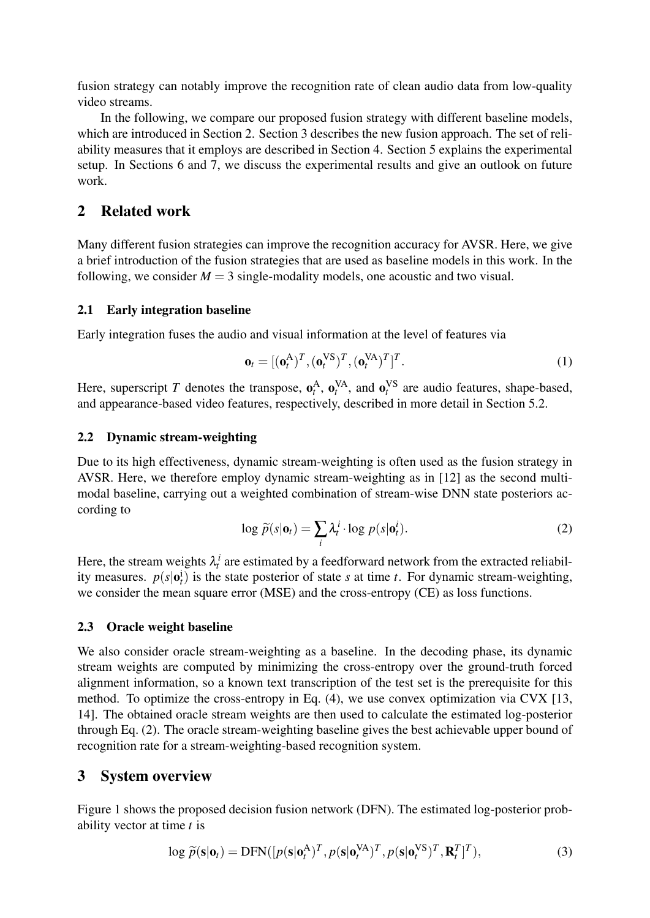fusion strategy can notably improve the recognition rate of clean audio data from low-quality video streams.

In the following, we compare our proposed fusion strategy with different baseline models, which are introduced in Section [2.](#page-1-0) Section [3](#page-1-1) describes the new fusion approach. The set of reliability measures that it employs are described in Section [4.](#page-2-0) Section [5](#page-3-0) explains the experimental setup. In Sections [6](#page-4-0) and [7,](#page-5-3) we discuss the experimental results and give an outlook on future work.

# <span id="page-1-0"></span>2 Related work

Many different fusion strategies can improve the recognition accuracy for AVSR. Here, we give a brief introduction of the fusion strategies that are used as baseline models in this work. In the following, we consider  $M = 3$  single-modality models, one acoustic and two visual.

### 2.1 Early integration baseline

Early integration fuses the audio and visual information at the level of features via

$$
\mathbf{o}_t = [(\mathbf{o}_t^{\mathbf{A}})^T, (\mathbf{o}_t^{\mathbf{V}\mathbf{S}})^T, (\mathbf{o}_t^{\mathbf{V}\mathbf{A}})^T]^T.
$$
 (1)

Here, superscript *T* denotes the transpose,  $\mathbf{o}_t^A$ ,  $\mathbf{o}_t^{VA}$ , and  $\mathbf{o}_t^{VS}$  are audio features, shape-based, and appearance-based video features, respectively, described in more detail in Section [5.2.](#page-3-1)

### 2.2 Dynamic stream-weighting

<span id="page-1-2"></span>Due to its high effectiveness, dynamic stream-weighting is often used as the fusion strategy in AVSR. Here, we therefore employ dynamic stream-weighting as in [\[12\]](#page-6-8) as the second multimodal baseline, carrying out a weighted combination of stream-wise DNN state posteriors according to

$$
\log \widetilde{p}(s|\mathbf{o}_t) = \sum_i \lambda_t^i \cdot \log p(s|\mathbf{o}_t^i).
$$
 (2)

Here, the stream weights  $\lambda_t^i$  are estimated by a feedforward network from the extracted reliability measures.  $p(s|\mathbf{o}_t^i)$  is the state posterior of state *s* at time *t*. For dynamic stream-weighting, we consider the mean square error (MSE) and the cross-entropy (CE) as loss functions.

#### 2.3 Oracle weight baseline

We also consider oracle stream-weighting as a baseline. In the decoding phase, its dynamic stream weights are computed by minimizing the cross-entropy over the ground-truth forced alignment information, so a known text transcription of the test set is the prerequisite for this method. To optimize the cross-entropy in Eq. [\(4\)](#page-2-1), we use convex optimization via CVX [\[13,](#page-6-9) [14\]](#page-6-10). The obtained oracle stream weights are then used to calculate the estimated log-posterior through Eq. [\(2\)](#page-1-2). The oracle stream-weighting baseline gives the best achievable upper bound of recognition rate for a stream-weighting-based recognition system.

### <span id="page-1-1"></span>3 System overview

Figure [1](#page-2-2) shows the proposed decision fusion network (DFN). The estimated log-posterior probability vector at time *t* is

$$
\log \widetilde{p}(\mathbf{s}|\mathbf{o}_t) = \text{DFN}([p(\mathbf{s}|\mathbf{o}_t^{\mathbf{A}})^T, p(\mathbf{s}|\mathbf{o}_t^{\mathbf{VA}})^T, p(\mathbf{s}|\mathbf{o}_t^{\mathbf{VS}})^T, \mathbf{R}_t^T]^T),
$$
\n(3)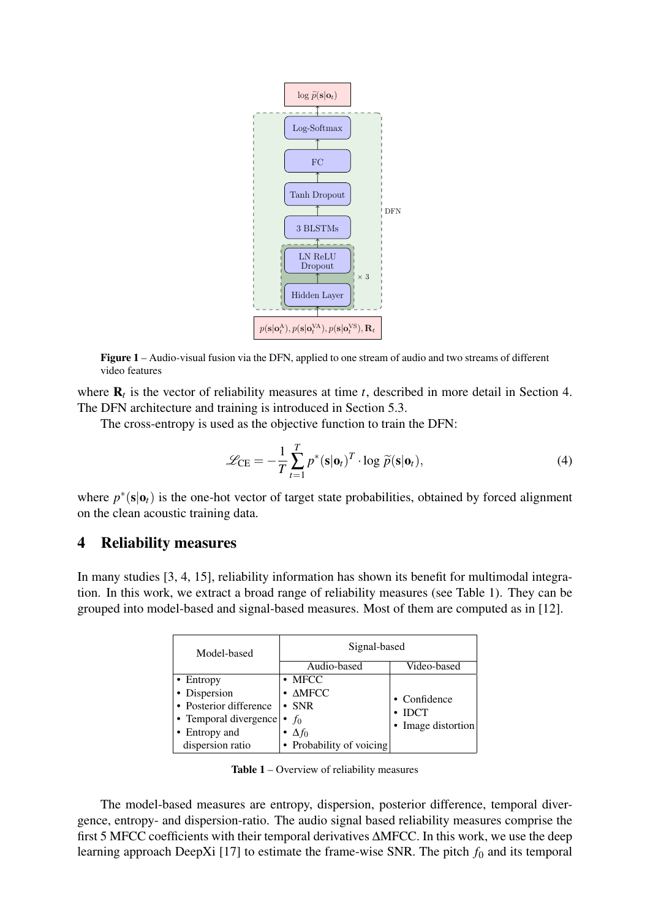<span id="page-2-2"></span>

Figure 1 – Audio-visual fusion via the DFN, applied to one stream of audio and two streams of different video features

where  $\mathbf{R}_t$  is the vector of reliability measures at time *t*, described in more detail in Section [4.](#page-2-0) The DFN architecture and training is introduced in Section [5.3.](#page-3-2)

The cross-entropy is used as the objective function to train the DFN:

<span id="page-2-1"></span>
$$
\mathcal{L}_{\text{CE}} = -\frac{1}{T} \sum_{t=1}^{T} p^* (\mathbf{s} | \mathbf{o}_t)^T \cdot \log \widetilde{p}(\mathbf{s} | \mathbf{o}_t), \tag{4}
$$

where  $p^*(s|o_t)$  is the one-hot vector of target state probabilities, obtained by forced alignment on the clean acoustic training data.

## <span id="page-2-0"></span>4 Reliability measures

<span id="page-2-3"></span>In many studies [\[3,](#page-5-2) [4,](#page-6-0) [15\]](#page-6-11), reliability information has shown its benefit for multimodal integration. In this work, we extract a broad range of reliability measures (see Table [1\)](#page-2-3). They can be grouped into model-based and signal-based measures. Most of them are computed as in [\[12\]](#page-6-8).

| Model-based            | Signal-based               |                    |  |  |
|------------------------|----------------------------|--------------------|--|--|
|                        | Audio-based                | Video-based        |  |  |
| • Entropy              | $\bullet$ MFCC             |                    |  |  |
| • Dispersion           | $\bullet$ $\triangle$ MFCC | • Confidence       |  |  |
| • Posterior difference | $\cdot$ SNR                | <b>IDCT</b>        |  |  |
| • Temporal divergence  | $f_0$<br>$\bullet$         | • Image distortion |  |  |
| • Entropy and          | $\bullet$ $\Delta f_0$     |                    |  |  |
| dispersion ratio       | • Probability of voicing   |                    |  |  |

Table 1 – Overview of reliability measures

The model-based measures are entropy, dispersion, posterior difference, temporal divergence, entropy- and dispersion-ratio. The audio signal based reliability measures comprise the first 5 MFCC coefficients with their temporal derivatives ∆MFCC. In this work, we use the deep learning approach DeepXi [\[17\]](#page-6-12) to estimate the frame-wise SNR. The pitch  $f_0$  and its temporal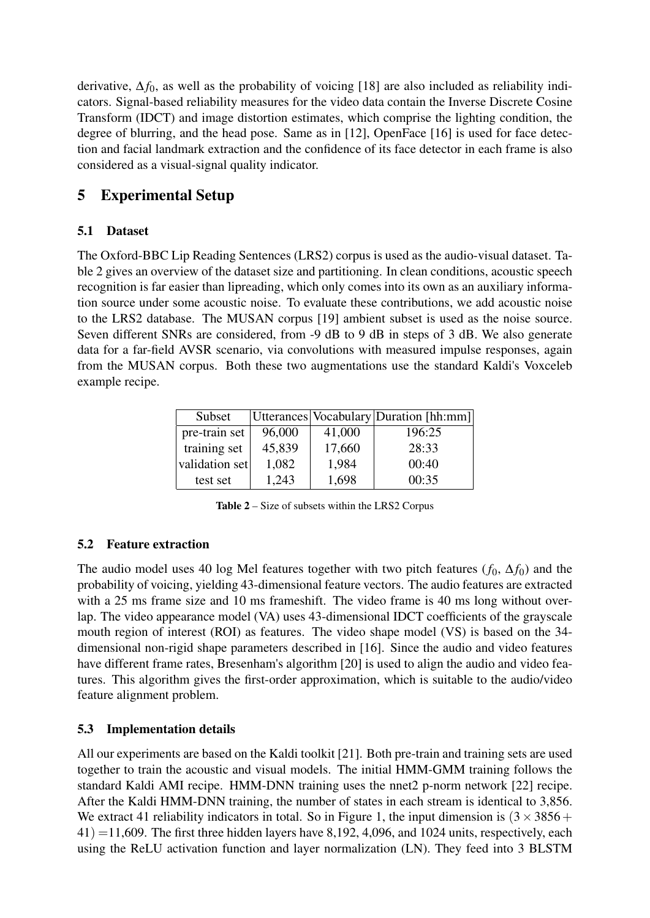derivative, ∆*f*0, as well as the probability of voicing [\[18\]](#page-6-13) are also included as reliability indicators. Signal-based reliability measures for the video data contain the Inverse Discrete Cosine Transform (IDCT) and image distortion estimates, which comprise the lighting condition, the degree of blurring, and the head pose. Same as in [\[12\]](#page-6-8), OpenFace [\[16\]](#page-6-14) is used for face detection and facial landmark extraction and the confidence of its face detector in each frame is also considered as a visual-signal quality indicator.

# <span id="page-3-0"></span>5 Experimental Setup

## <span id="page-3-4"></span>5.1 Dataset

The Oxford-BBC Lip Reading Sentences (LRS2) corpus is used as the audio-visual dataset. Table [2](#page-3-3) gives an overview of the dataset size and partitioning. In clean conditions, acoustic speech recognition is far easier than lipreading, which only comes into its own as an auxiliary information source under some acoustic noise. To evaluate these contributions, we add acoustic noise to the LRS2 database. The MUSAN corpus [\[19\]](#page-7-0) ambient subset is used as the noise source. Seven different SNRs are considered, from -9 dB to 9 dB in steps of 3 dB. We also generate data for a far-field AVSR scenario, via convolutions with measured impulse responses, again from the MUSAN corpus. Both these two augmentations use the standard Kaldi's Voxceleb example recipe.

<span id="page-3-3"></span>

| Subset         |        |        | Utterances Vocabulary Duration [hh:mm] |
|----------------|--------|--------|----------------------------------------|
| pre-train set  | 96,000 | 41,000 | 196:25                                 |
| training set   | 45,839 | 17,660 | 28:33                                  |
| validation set | 1,082  | 1,984  | 00:40                                  |
| test set       | 1,243  | 1,698  | 00:35                                  |

Table 2 – Size of subsets within the LRS2 Corpus

# <span id="page-3-1"></span>5.2 Feature extraction

The audio model uses 40 log Mel features together with two pitch features  $(f_0, \Delta f_0)$  and the probability of voicing, yielding 43-dimensional feature vectors. The audio features are extracted with a 25 ms frame size and 10 ms frameshift. The video frame is 40 ms long without overlap. The video appearance model (VA) uses 43-dimensional IDCT coefficients of the grayscale mouth region of interest (ROI) as features. The video shape model (VS) is based on the 34 dimensional non-rigid shape parameters described in [\[16\]](#page-6-14). Since the audio and video features have different frame rates, Bresenham's algorithm [\[20\]](#page-7-1) is used to align the audio and video features. This algorithm gives the first-order approximation, which is suitable to the audio/video feature alignment problem.

## <span id="page-3-2"></span>5.3 Implementation details

All our experiments are based on the Kaldi toolkit [\[21\]](#page-7-2). Both pre-train and training sets are used together to train the acoustic and visual models. The initial HMM-GMM training follows the standard Kaldi AMI recipe. HMM-DNN training uses the nnet2 p-norm network [\[22\]](#page-7-3) recipe. After the Kaldi HMM-DNN training, the number of states in each stream is identical to 3,856. We extract 41 reliability indicators in total. So in Figure [1,](#page-2-2) the input dimension is  $(3 \times 3856 +$  $41) = 11,609$ . The first three hidden layers have 8,192, 4,096, and 1024 units, respectively, each using the ReLU activation function and layer normalization (LN). They feed into 3 BLSTM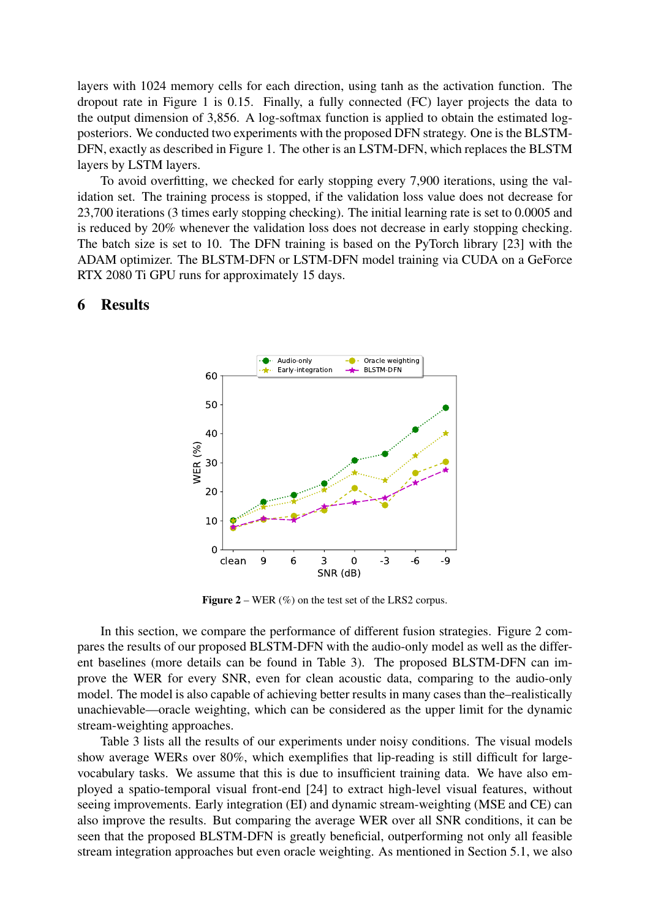layers with 1024 memory cells for each direction, using tanh as the activation function. The dropout rate in Figure [1](#page-2-2) is 0.15. Finally, a fully connected (FC) layer projects the data to the output dimension of 3,856. A log-softmax function is applied to obtain the estimated logposteriors. We conducted two experiments with the proposed DFN strategy. One is the BLSTM-DFN, exactly as described in Figure [1.](#page-2-2) The other is an LSTM-DFN, which replaces the BLSTM layers by LSTM layers.

To avoid overfitting, we checked for early stopping every 7,900 iterations, using the validation set. The training process is stopped, if the validation loss value does not decrease for 23,700 iterations (3 times early stopping checking). The initial learning rate is set to 0.0005 and is reduced by 20% whenever the validation loss does not decrease in early stopping checking. The batch size is set to 10. The DFN training is based on the PyTorch library [\[23\]](#page-7-4) with the ADAM optimizer. The BLSTM-DFN or LSTM-DFN model training via CUDA on a GeForce RTX 2080 Ti GPU runs for approximately 15 days.

# clean 9 6 3 0 -3 -6 -9 SNR (dB)  $\overline{0}$ 10 20 30 40 50 60 WER (%) Audio-only Early-integration Oracle weighting BLSTM-DFN

## <span id="page-4-1"></span><span id="page-4-0"></span>6 Results

**Figure 2** – WER  $(\%)$  on the test set of the LRS2 corpus.

In this section, we compare the performance of different fusion strategies. Figure [2](#page-4-1) compares the results of our proposed BLSTM-DFN with the audio-only model as well as the different baselines (more details can be found in Table [3\)](#page-5-4). The proposed BLSTM-DFN can improve the WER for every SNR, even for clean acoustic data, comparing to the audio-only model. The model is also capable of achieving better results in many cases than the–realistically unachievable—oracle weighting, which can be considered as the upper limit for the dynamic stream-weighting approaches.

Table [3](#page-5-4) lists all the results of our experiments under noisy conditions. The visual models show average WERs over 80%, which exemplifies that lip-reading is still difficult for largevocabulary tasks. We assume that this is due to insufficient training data. We have also employed a spatio-temporal visual front-end [\[24\]](#page-7-5) to extract high-level visual features, without seeing improvements. Early integration (EI) and dynamic stream-weighting (MSE and CE) can also improve the results. But comparing the average WER over all SNR conditions, it can be seen that the proposed BLSTM-DFN is greatly beneficial, outperforming not only all feasible stream integration approaches but even oracle weighting. As mentioned in Section [5.1,](#page-3-4) we also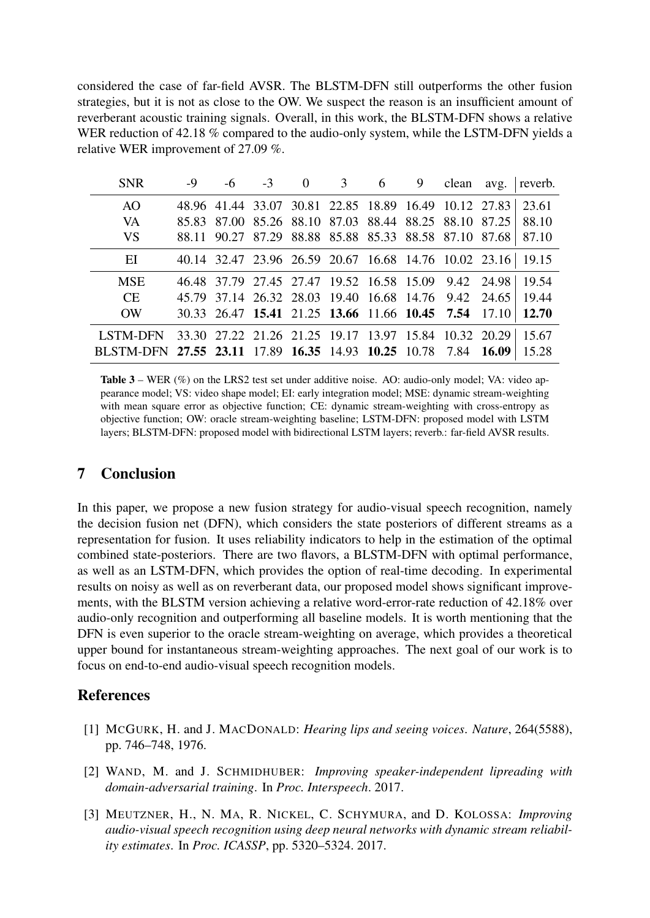considered the case of far-field AVSR. The BLSTM-DFN still outperforms the other fusion strategies, but it is not as close to the OW. We suspect the reason is an insufficient amount of reverberant acoustic training signals. Overall, in this work, the BLSTM-DFN shows a relative WER reduction of 42.18 % compared to the audio-only system, while the LSTM-DFN yields a relative WER improvement of 27.09 %.

<span id="page-5-4"></span>

| <b>SNR</b>                                                     | -9 | -6 |                                                       | $-3$ 0 | 3 <sup>7</sup> | 6 | 9 | clean | avg. | reverb. |
|----------------------------------------------------------------|----|----|-------------------------------------------------------|--------|----------------|---|---|-------|------|---------|
| AO                                                             |    |    | 48.96 41.44 33.07 30.81 22.85 18.89 16.49 10.12 27.83 |        |                |   |   |       |      | 23.61   |
| VA                                                             |    |    | 85.83 87.00 85.26 88.10 87.03 88.44 88.25 88.10 87.25 |        |                |   |   |       |      | 88.10   |
| <b>VS</b>                                                      |    |    | 88.11 90.27 87.29 88.88 85.88 85.33 88.58 87.10 87.68 |        |                |   |   |       |      | 87.10   |
| EI                                                             |    |    | 40.14 32.47 23.96 26.59 20.67 16.68 14.76 10.02 23.16 |        |                |   |   |       |      | 19.15   |
| <b>MSE</b>                                                     |    |    | 46.48 37.79 27.45 27.47 19.52 16.58 15.09 9.42 24.98  |        |                |   |   |       |      | 19.54   |
| <b>CE</b>                                                      |    |    | 45.79 37.14 26.32 28.03 19.40 16.68 14.76 9.42 24.65  |        |                |   |   |       |      | 19.44   |
| <b>OW</b>                                                      |    |    | 30.33 26.47 15.41 21.25 13.66 11.66 10.45 7.54 17.10  |        |                |   |   |       |      | 12.70   |
| <b>LSTM-DFN</b>                                                |    |    | 33.30 27.22 21.26 21.25 19.17 13.97 15.84 10.32 20.29 |        |                |   |   |       |      | 15.67   |
| BLSTM-DFN 27.55 23.11 17.89 16.35 14.93 10.25 10.78 7.84 16.09 |    |    |                                                       |        |                |   |   |       |      | 15.28   |

Table 3 – WER (%) on the LRS2 test set under additive noise. AO: audio-only model: VA: video appearance model; VS: video shape model; EI: early integration model; MSE: dynamic stream-weighting with mean square error as objective function; CE: dynamic stream-weighting with cross-entropy as objective function; OW: oracle stream-weighting baseline; LSTM-DFN: proposed model with LSTM layers; BLSTM-DFN: proposed model with bidirectional LSTM layers; reverb.: far-field AVSR results.

# <span id="page-5-3"></span>7 Conclusion

In this paper, we propose a new fusion strategy for audio-visual speech recognition, namely the decision fusion net (DFN), which considers the state posteriors of different streams as a representation for fusion. It uses reliability indicators to help in the estimation of the optimal combined state-posteriors. There are two flavors, a BLSTM-DFN with optimal performance, as well as an LSTM-DFN, which provides the option of real-time decoding. In experimental results on noisy as well as on reverberant data, our proposed model shows significant improvements, with the BLSTM version achieving a relative word-error-rate reduction of 42.18% over audio-only recognition and outperforming all baseline models. It is worth mentioning that the DFN is even superior to the oracle stream-weighting on average, which provides a theoretical upper bound for instantaneous stream-weighting approaches. The next goal of our work is to focus on end-to-end audio-visual speech recognition models.

# References

- <span id="page-5-0"></span>[1] MCGURK, H. and J. MACDONALD: *Hearing lips and seeing voices*. *Nature*, 264(5588), pp. 746–748, 1976.
- <span id="page-5-1"></span>[2] WAND, M. and J. SCHMIDHUBER: *Improving speaker-independent lipreading with domain-adversarial training*. In *Proc. Interspeech*. 2017.
- <span id="page-5-2"></span>[3] MEUTZNER, H., N. MA, R. NICKEL, C. SCHYMURA, and D. KOLOSSA: *Improving audio-visual speech recognition using deep neural networks with dynamic stream reliability estimates*. In *Proc. ICASSP*, pp. 5320–5324. 2017.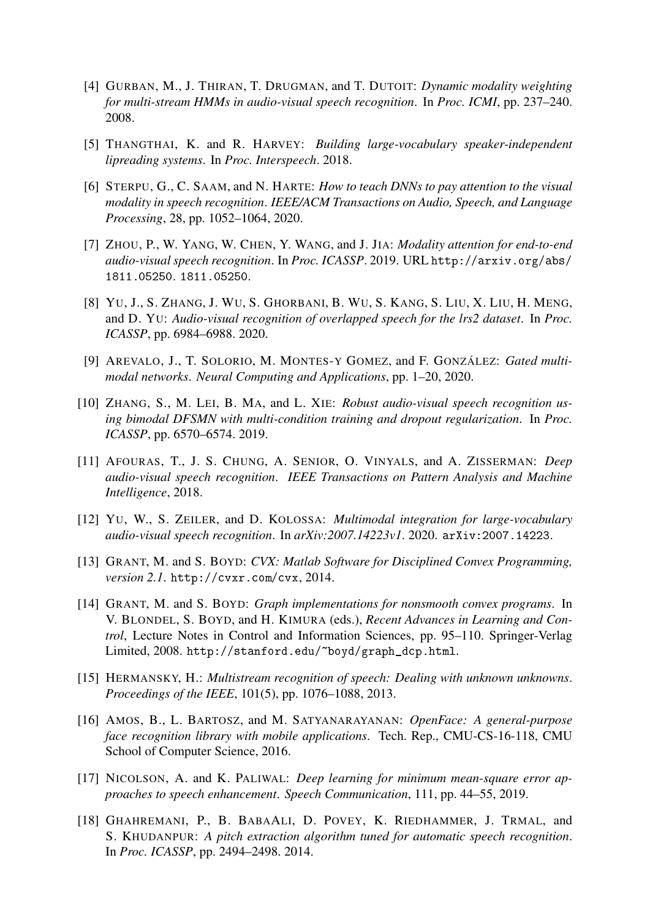- <span id="page-6-0"></span>[4] GURBAN, M., J. THIRAN, T. DRUGMAN, and T. DUTOIT: *Dynamic modality weighting for multi-stream HMMs in audio-visual speech recognition*. In *Proc. ICMI*, pp. 237–240. 2008.
- <span id="page-6-1"></span>[5] THANGTHAI, K. and R. HARVEY: *Building large-vocabulary speaker-independent lipreading systems*. In *Proc. Interspeech*. 2018.
- <span id="page-6-2"></span>[6] STERPU, G., C. SAAM, and N. HARTE: *How to teach DNNs to pay attention to the visual modality in speech recognition*. *IEEE/ACM Transactions on Audio, Speech, and Language Processing*, 28, pp. 1052–1064, 2020.
- <span id="page-6-3"></span>[7] ZHOU, P., W. YANG, W. CHEN, Y. WANG, and J. JIA: *Modality attention for end-to-end audio-visual speech recognition*. In *Proc. ICASSP*. 2019. URL [http://arxiv.org/abs/](http://arxiv.org/abs/1811.05250) [1811.05250](http://arxiv.org/abs/1811.05250). <1811.05250>.
- <span id="page-6-4"></span>[8] YU, J., S. ZHANG, J. WU, S. GHORBANI, B. WU, S. KANG, S. LIU, X. LIU, H. MENG, and D. YU: *Audio-visual recognition of overlapped speech for the lrs2 dataset*. In *Proc. ICASSP*, pp. 6984–6988. 2020.
- <span id="page-6-5"></span>[9] AREVALO, J., T. SOLORIO, M. MONTES-Y GOMEZ, and F. GONZÁLEZ: *Gated multimodal networks*. *Neural Computing and Applications*, pp. 1–20, 2020.
- <span id="page-6-6"></span>[10] ZHANG, S., M. LEI, B. MA, and L. XIE: *Robust audio-visual speech recognition using bimodal DFSMN with multi-condition training and dropout regularization*. In *Proc. ICASSP*, pp. 6570–6574. 2019.
- <span id="page-6-7"></span>[11] AFOURAS, T., J. S. CHUNG, A. SENIOR, O. VINYALS, and A. ZISSERMAN: *Deep audio-visual speech recognition*. *IEEE Transactions on Pattern Analysis and Machine Intelligence*, 2018.
- <span id="page-6-8"></span>[12] YU, W., S. ZEILER, and D. KOLOSSA: *Multimodal integration for large-vocabulary audio-visual speech recognition*. In *arXiv:2007.14223v1*. 2020. <arXiv:2007.14223>.
- <span id="page-6-9"></span>[13] GRANT, M. and S. BOYD: *CVX: Matlab Software for Disciplined Convex Programming, version 2.1*. <http://cvxr.com/cvx>, 2014.
- <span id="page-6-10"></span>[14] GRANT, M. and S. BOYD: *Graph implementations for nonsmooth convex programs*. In V. BLONDEL, S. BOYD, and H. KIMURA (eds.), *Recent Advances in Learning and Control*, Lecture Notes in Control and Information Sciences, pp. 95–110. Springer-Verlag Limited, 2008. [http://stanford.edu/~boyd/graph\\_dcp.html](http://stanford.edu/~boyd/graph_dcp.html).
- <span id="page-6-11"></span>[15] HERMANSKY, H.: *Multistream recognition of speech: Dealing with unknown unknowns*. *Proceedings of the IEEE*, 101(5), pp. 1076–1088, 2013.
- <span id="page-6-14"></span>[16] AMOS, B., L. BARTOSZ, and M. SATYANARAYANAN: *OpenFace: A general-purpose face recognition library with mobile applications*. Tech. Rep., CMU-CS-16-118, CMU School of Computer Science, 2016.
- <span id="page-6-12"></span>[17] NICOLSON, A. and K. PALIWAL: *Deep learning for minimum mean-square error approaches to speech enhancement*. *Speech Communication*, 111, pp. 44–55, 2019.
- <span id="page-6-13"></span>[18] GHAHREMANI, P., B. BABAALI, D. POVEY, K. RIEDHAMMER, J. TRMAL, and S. KHUDANPUR: *A pitch extraction algorithm tuned for automatic speech recognition*. In *Proc. ICASSP*, pp. 2494–2498. 2014.